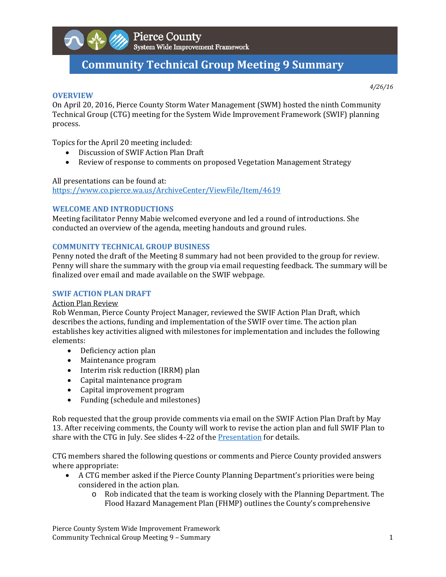

# **Community Technical Group Meeting 9 Summary**

**OVERVIEW**

*4/26/16*

On April 20, 2016, Pierce County Storm Water Management (SWM) hosted the ninth Community Technical Group (CTG) meeting for the System Wide Improvement Framework (SWIF) planning process. 

Topics for the April 20 meeting included:

- Discussion of SWIF Action Plan Draft
- Review of response to comments on proposed Vegetation Management Strategy

## All presentations can be found at: https://www.co.pierce.wa.us/ArchiveCenter/ViewFile/Item/4619

# **WELCOME AND INTRODUCTIONS**

Meeting facilitator Penny Mabie welcomed everyone and led a round of introductions. She conducted an overview of the agenda, meeting handouts and ground rules.

# **COMMUNITY TECHNICAL GROUP BUSINESS**

Penny noted the draft of the Meeting 8 summary had not been provided to the group for review. Penny will share the summary with the group via email requesting feedback. The summary will be finalized over email and made available on the SWIF webpage.

# **SWIF ACTION PLAN DRAFT**

## Action Plan Review

Rob Wenman, Pierce County Project Manager, reviewed the SWIF Action Plan Draft, which describes the actions, funding and implementation of the SWIF over time. The action plan establishes key activities aligned with milestones for implementation and includes the following elements: 

- Deficiency action plan
- Maintenance program
- Interim risk reduction (IRRM) plan
- Capital maintenance program
- Capital improvement program
- Funding (schedule and milestones)

Rob requested that the group provide comments via email on the SWIF Action Plan Draft by May 13. After receiving comments, the County will work to revise the action plan and full SWIF Plan to share with the CTG in July. See slides 4-22 of the Presentation for details.

CTG members shared the following questions or comments and Pierce County provided answers where appropriate:

- A CTG member asked if the Pierce County Planning Department's priorities were being considered in the action plan.
	- o Rob indicated that the team is working closely with the Planning Department. The Flood Hazard Management Plan (FHMP) outlines the County's comprehensive

Pierce County System Wide Improvement Framework Community Technical Group Meeting 9 – Summary **1** and the state of the state of the state of the state of the state of the state of the state of the state of the state of the state of the state of the state of the state of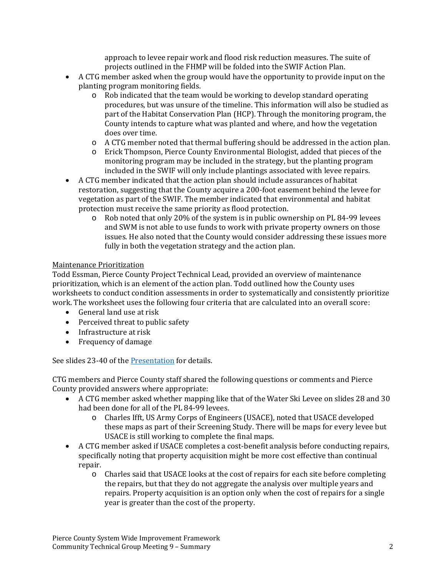approach to levee repair work and flood risk reduction measures. The suite of projects outlined in the FHMP will be folded into the SWIF Action Plan.

- A CTG member asked when the group would have the opportunity to provide input on the planting program monitoring fields.
	- $\circ$  Rob indicated that the team would be working to develop standard operating procedures, but was unsure of the timeline. This information will also be studied as part of the Habitat Conservation Plan (HCP). Through the monitoring program, the County intends to capture what was planted and where, and how the vegetation does over time.
	- $\circ$  A CTG member noted that thermal buffering should be addressed in the action plan.
	- o Erick Thompson, Pierce County Environmental Biologist, added that pieces of the monitoring program may be included in the strategy, but the planting program included in the SWIF will only include plantings associated with levee repairs.
- A CTG member indicated that the action plan should include assurances of habitat restoration, suggesting that the County acquire a 200-foot easement behind the levee for vegetation as part of the SWIF. The member indicated that environmental and habitat protection must receive the same priority as flood protection.
	- $\circ$  Rob noted that only 20% of the system is in public ownership on PL 84-99 levees and SWM is not able to use funds to work with private property owners on those issues. He also noted that the County would consider addressing these issues more fully in both the vegetation strategy and the action plan.

## Maintenance Prioritization

Todd Essman, Pierce County Project Technical Lead, provided an overview of maintenance prioritization, which is an element of the action plan. Todd outlined how the County uses worksheets to conduct condition assessments in order to systematically and consistently prioritize work. The worksheet uses the following four criteria that are calculated into an overall score:

- General land use at risk
- Perceived threat to public safety
- Infrastructure at risk
- Frequency of damage

See slides 23-40 of the Presentation for details.

CTG members and Pierce County staff shared the following questions or comments and Pierce County provided answers where appropriate:

- A CTG member asked whether mapping like that of the Water Ski Levee on slides 28 and 30 had been done for all of the PL 84-99 levees.
	- $\circ$  Charles Ifft, US Army Corps of Engineers (USACE), noted that USACE developed these maps as part of their Screening Study. There will be maps for every levee but USACE is still working to complete the final maps.
- $\bullet$  A CTG member asked if USACE completes a cost-benefit analysis before conducting repairs, specifically noting that property acquisition might be more cost effective than continual repair.
	- $\circ$  Charles said that USACE looks at the cost of repairs for each site before completing the repairs, but that they do not aggregate the analysis over multiple years and repairs. Property acquisition is an option only when the cost of repairs for a single year is greater than the cost of the property.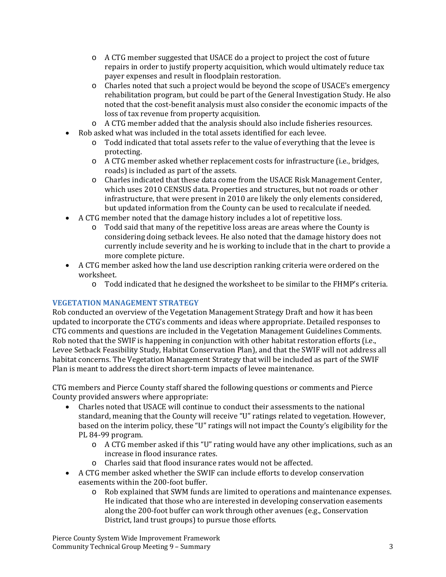- $\circ$  A CTG member suggested that USACE do a project to project the cost of future repairs in order to justify property acquisition, which would ultimately reduce tax payer expenses and result in floodplain restoration.
- $\circ$  Charles noted that such a project would be beyond the scope of USACE's emergency rehabilitation program, but could be part of the General Investigation Study. He also noted that the cost-benefit analysis must also consider the economic impacts of the loss of tax revenue from property acquisition.
- $\circ$  A CTG member added that the analysis should also include fisheries resources.
- Rob asked what was included in the total assets identified for each levee.
	- $\circ$  Todd indicated that total assets refer to the value of everything that the levee is protecting.
	- o A CTG member asked whether replacement costs for infrastructure (i.e., bridges, roads) is included as part of the assets.
	- $\circ$  Charles indicated that these data come from the USACE Risk Management Center, which uses 2010 CENSUS data. Properties and structures, but not roads or other infrastructure, that were present in 2010 are likely the only elements considered, but updated information from the County can be used to recalculate if needed.
- A CTG member noted that the damage history includes a lot of repetitive loss.
	- $\circ$  Todd said that many of the repetitive loss areas are areas where the County is considering doing setback levees. He also noted that the damage history does not currently include severity and he is working to include that in the chart to provide a more complete picture.
- A CTG member asked how the land use description ranking criteria were ordered on the worksheet.
	- $\circ$  Todd indicated that he designed the worksheet to be similar to the FHMP's criteria.

## **VEGETATION MANAGEMENT STRATEGY**

Rob conducted an overview of the Vegetation Management Strategy Draft and how it has been updated to incorporate the CTG's comments and ideas where appropriate. Detailed responses to CTG comments and questions are included in the Vegetation Management Guidelines Comments. Rob noted that the SWIF is happening in conjunction with other habitat restoration efforts (i.e., Levee Setback Feasibility Study, Habitat Conservation Plan), and that the SWIF will not address all habitat concerns. The Vegetation Management Strategy that will be included as part of the SWIF Plan is meant to address the direct short-term impacts of levee maintenance.

CTG members and Pierce County staff shared the following questions or comments and Pierce County provided answers where appropriate:

- Charles noted that USACE will continue to conduct their assessments to the national standard, meaning that the County will receive "U" ratings related to vegetation. However, based on the interim policy, these "U" ratings will not impact the County's eligibility for the PL 84-99 program.
	- o A CTG member asked if this "U" rating would have any other implications, such as an increase in flood insurance rates.
	- $\circ$  Charles said that flood insurance rates would not be affected.
- A CTG member asked whether the SWIF can include efforts to develop conservation easements within the 200-foot buffer.
	- $\circ$  Rob explained that SWM funds are limited to operations and maintenance expenses. He indicated that those who are interested in developing conservation easements along the 200-foot buffer can work through other avenues (e.g., Conservation District, land trust groups) to pursue those efforts.

Pierce County System Wide Improvement Framework Community Technical Group Meeting 9 – Summary **1996** (1996) 33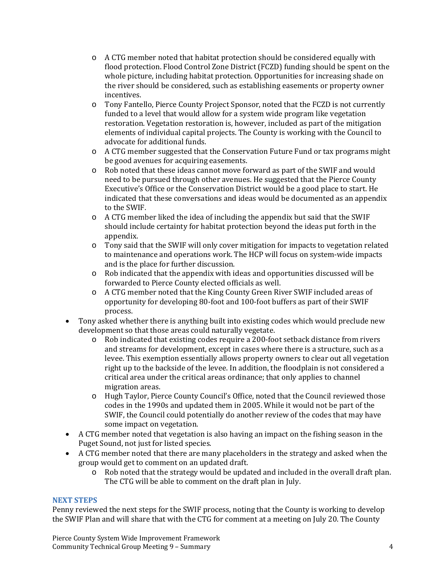- $\circ$  A CTG member noted that habitat protection should be considered equally with flood protection. Flood Control Zone District (FCZD) funding should be spent on the whole picture, including habitat protection. Opportunities for increasing shade on the river should be considered, such as establishing easements or property owner incentives.
- o Tony Fantello, Pierce County Project Sponsor, noted that the FCZD is not currently funded to a level that would allow for a system wide program like vegetation restoration. Vegetation restoration is, however, included as part of the mitigation elements of individual capital projects. The County is working with the Council to advocate for additional funds.
- $\circ$  A CTG member suggested that the Conservation Future Fund or tax programs might be good avenues for acquiring easements.
- $\circ$  Rob noted that these ideas cannot move forward as part of the SWIF and would need to be pursued through other avenues. He suggested that the Pierce County Executive's Office or the Conservation District would be a good place to start. He indicated that these conversations and ideas would be documented as an appendix to the SWIF.
- $\circ$  A CTG member liked the idea of including the appendix but said that the SWIF should include certainty for habitat protection beyond the ideas put forth in the appendix.
- $\circ$  Tony said that the SWIF will only cover mitigation for impacts to vegetation related to maintenance and operations work. The HCP will focus on system-wide impacts and is the place for further discussion.
- $\circ$  Rob indicated that the appendix with ideas and opportunities discussed will be forwarded to Pierce County elected officials as well.
- $\circ$  A CTG member noted that the King County Green River SWIF included areas of opportunity for developing 80-foot and 100-foot buffers as part of their SWIF process.
- Tony asked whether there is anything built into existing codes which would preclude new development so that those areas could naturally vegetate.
	- $\circ$  Rob indicated that existing codes require a 200-foot setback distance from rivers and streams for development, except in cases where there is a structure, such as a levee. This exemption essentially allows property owners to clear out all vegetation right up to the backside of the levee. In addition, the floodplain is not considered a critical area under the critical areas ordinance; that only applies to channel migration areas.
	- $\circ$  Hugh Taylor, Pierce County Council's Office, noted that the Council reviewed those codes in the 1990s and updated them in 2005. While it would not be part of the SWIF, the Council could potentially do another review of the codes that may have some impact on vegetation.
- A CTG member noted that vegetation is also having an impact on the fishing season in the Puget Sound, not just for listed species.
- A CTG member noted that there are many placeholders in the strategy and asked when the group would get to comment on an updated draft.
	- $\circ$  Rob noted that the strategy would be updated and included in the overall draft plan. The CTG will be able to comment on the draft plan in July.

## **NEXT STEPS**

Penny reviewed the next steps for the SWIF process, noting that the County is working to develop the SWIF Plan and will share that with the CTG for comment at a meeting on July 20. The County

Pierce County System Wide Improvement Framework Community Technical Group Meeting 9 – Summary **1996** Community Technical Group Meeting 9 – Summary